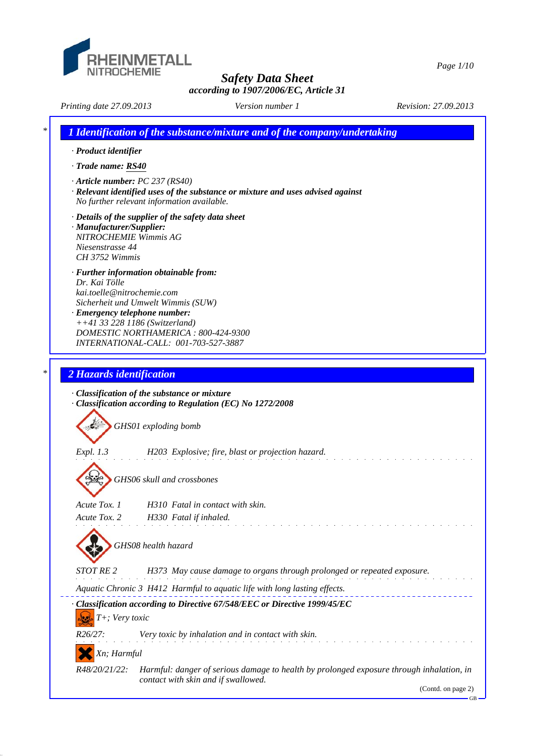

*Page 1/10*

*Printing date 27.09.2013 Revision: 27.09.2013 Version number 1 \* 1 Identification of the substance/mixture and of the company/undertaking · Product identifier · Trade name: RS40 · Article number: PC 237 (RS40) · Relevant identified uses of the substance or mixture and uses advised against No further relevant information available. · Details of the supplier of the safety data sheet · Manufacturer/Supplier: NITROCHEMIE Wimmis AG Niesenstrasse 44 CH 3752 Wimmis*

- *· Further information obtainable from: Dr. Kai Tölle kai.toelle@nitrochemie.com Sicherheit und Umwelt Wimmis (SUW)*
- *· Emergency telephone number: ++41 33 228 1186 (Switzerland) DOMESTIC NORTHAMERICA : 800-424-9300 INTERNATIONAL-CALL: 001-703-527-3887*

# *\* 2 Hazards identification*

|                      | $\cdot$ Classification of the substance or mixture<br>Classification according to Regulation (EC) No 1272/2008                  |
|----------------------|---------------------------------------------------------------------------------------------------------------------------------|
|                      | GHS01 exploding bomb                                                                                                            |
| <i>Expl.</i> 1.3     | H203 Explosive; fire, blast or projection hazard.                                                                               |
|                      | GHS06 skull and crossbones                                                                                                      |
| Acute Tox. 1         | H310 Fatal in contact with skin.                                                                                                |
| Acute Tox. 2         | H330 Fatal if inhaled.                                                                                                          |
| STOT RE <sub>2</sub> | GHS08 health hazard<br>H373 May cause damage to organs through prolonged or repeated exposure.                                  |
|                      | Aquatic Chronic 3 H412 Harmful to aquatic life with long lasting effects.                                                       |
| T+; Very toxic       | Classification according to Directive 67/548/EEC or Directive 1999/45/EC                                                        |
| $R26/27$ :           | Very toxic by inhalation and in contact with skin.                                                                              |
| Xn; Harmful          |                                                                                                                                 |
| R48/20/21/22:        | Harmful: danger of serious damage to health by prolonged exposure through inhalation, in<br>contact with skin and if swallowed. |
|                      | (Contd. on page 2)                                                                                                              |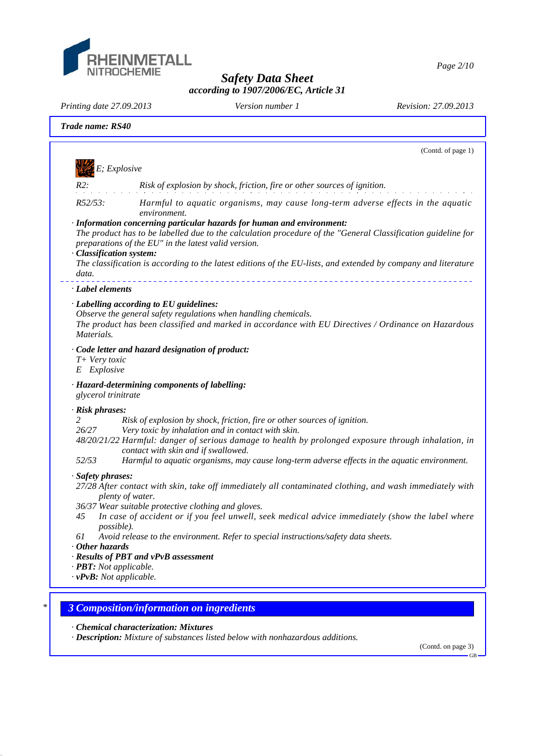

*Page 2/10*

*Safety Data Sheet according to 1907/2006/EC, Article 31*

*Printing date 27.09.2013 Revision: 27.09.2013 Version number 1*

|                              | (Contd. of page 1)                                                                                                                                                                                                                                                         |
|------------------------------|----------------------------------------------------------------------------------------------------------------------------------------------------------------------------------------------------------------------------------------------------------------------------|
|                              | E; Explosive                                                                                                                                                                                                                                                               |
| $R2$ :                       | Risk of explosion by shock, friction, fire or other sources of ignition.                                                                                                                                                                                                   |
| R52/53:                      | Harmful to aquatic organisms, may cause long-term adverse effects in the aquatic<br>environment.                                                                                                                                                                           |
|                              | · Information concerning particular hazards for human and environment:<br>The product has to be labelled due to the calculation procedure of the "General Classification guideline for<br>preparations of the EU" in the latest valid version.<br>· Classification system: |
| data.                        | The classification is according to the latest editions of the EU-lists, and extended by company and literature                                                                                                                                                             |
| · Label elements             |                                                                                                                                                                                                                                                                            |
|                              | · Labelling according to EU guidelines:                                                                                                                                                                                                                                    |
| Materials.                   | Observe the general safety regulations when handling chemicals.<br>The product has been classified and marked in accordance with EU Directives / Ordinance on Hazardous                                                                                                    |
| T+ Very toxic<br>E Explosive | · Code letter and hazard designation of product:                                                                                                                                                                                                                           |
| glycerol trinitrate          | · Hazard-determining components of labelling:                                                                                                                                                                                                                              |
| · Risk phrases:              |                                                                                                                                                                                                                                                                            |
| 2<br>26/27                   | Risk of explosion by shock, friction, fire or other sources of ignition.<br>Very toxic by inhalation and in contact with skin.                                                                                                                                             |
|                              | 48/20/21/22 Harmful: danger of serious damage to health by prolonged exposure through inhalation, in<br>contact with skin and if swallowed.                                                                                                                                |
| 52/53                        | Harmful to aquatic organisms, may cause long-term adverse effects in the aquatic environment.                                                                                                                                                                              |
| · Safety phrases:            | 27/28 After contact with skin, take off immediately all contaminated clothing, and wash immediately with<br>plenty of water.<br>36/37 Wear suitable protective clothing and gloves.                                                                                        |
| 45                           | In case of accident or if you feel unwell, seek medical advice immediately (show the label where<br>possible).                                                                                                                                                             |
| 61<br>$\cdot$ Other hazards  | Avoid release to the environment. Refer to special instructions/safety data sheets.                                                                                                                                                                                        |
|                              | · Results of PBT and vPvB assessment                                                                                                                                                                                                                                       |
|                              | $\cdot$ <b>PBT:</b> Not applicable.<br>$\cdot v$ PvB: Not applicable.                                                                                                                                                                                                      |
|                              |                                                                                                                                                                                                                                                                            |

*· Chemical characterization: Mixtures*

*· Description: Mixture of substances listed below with nonhazardous additions.*

(Contd. on page 3) GB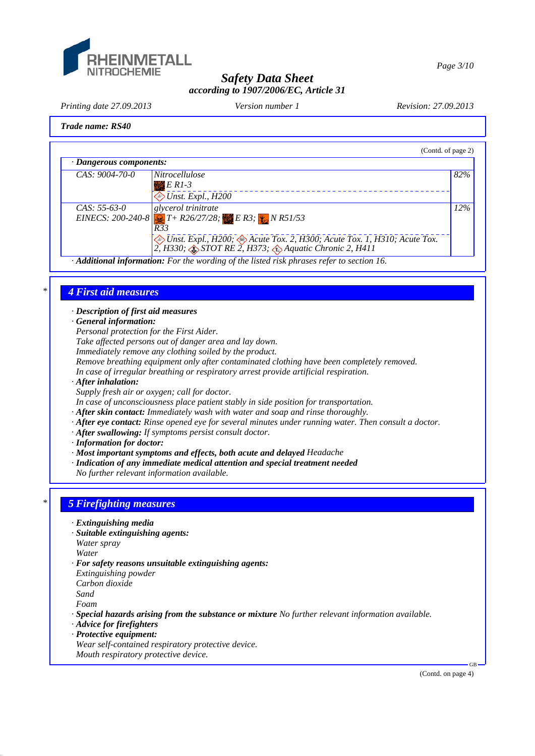

*Page 3/10*

# *Safety Data Sheet according to 1907/2006/EC, Article 31*

*Printing date 27.09.2013 Revision: 27.09.2013 Version number 1*

## *Trade name: RS40*

| 82%                                                                                                                                       |
|-------------------------------------------------------------------------------------------------------------------------------------------|
| 12%<br>EINECS: 200-240-8 $T + R26/27/28$ ; E R3; $\downarrow$ N R51/53                                                                    |
| ◆ Unst. Expl., H200; ◆ Acute Tox. 2, H300; Acute Tox. 1, H310; Acute Tox.<br>2, H330; STOT RE 2, H373; $\bigcirc$ Aquatic Chronic 2, H411 |
| Additional information: For the wording of the listed risk phrases refer to section 16.                                                   |

## *\* 4 First aid measures*

*· Description of first aid measures*

*· General information:*

*Personal protection for the First Aider.*

*Take affected persons out of danger area and lay down.*

*Immediately remove any clothing soiled by the product.*

*Remove breathing equipment only after contaminated clothing have been completely removed.*

*In case of irregular breathing or respiratory arrest provide artificial respiration.*

*· After inhalation:*

*Supply fresh air or oxygen; call for doctor.*

*In case of unconsciousness place patient stably in side position for transportation.*

- *· After skin contact: Immediately wash with water and soap and rinse thoroughly.*
- *· After eye contact: Rinse opened eye for several minutes under running water. Then consult a doctor.*
- *· After swallowing: If symptoms persist consult doctor.*
- *· Information for doctor:*
- *· Most important symptoms and effects, both acute and delayed Headache*
- *· Indication of any immediate medical attention and special treatment needed*

*No further relevant information available.*

# *\* 5 Firefighting measures*

- *· Extinguishing media*
- *· Suitable extinguishing agents:*
- *Water spray*

*Water*

- *· For safety reasons unsuitable extinguishing agents:*
- *Extinguishing powder*

*Carbon dioxide*

*Sand*

*Foam*

*· Special hazards arising from the substance or mixture No further relevant information available.*

- *· Advice for firefighters*
- *· Protective equipment:*
- *Wear self-contained respiratory protective device.*

*Mouth respiratory protective device.*

GB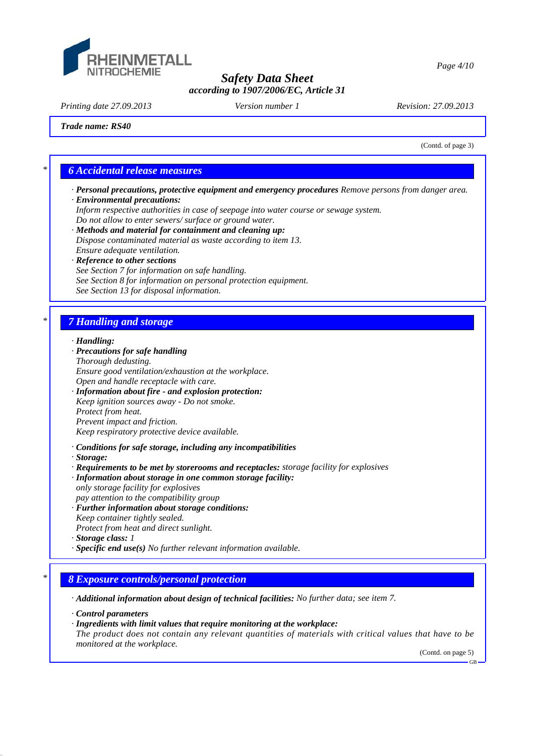

*Printing date 27.09.2013 Revision: 27.09.2013 Version number 1*

*Trade name: RS40*

(Contd. of page 3)

# *\* 6 Accidental release measures*

- *· Personal precautions, protective equipment and emergency procedures Remove persons from danger area.*
- *· Environmental precautions:*
- *Inform respective authorities in case of seepage into water course or sewage system.*
- *Do not allow to enter sewers/ surface or ground water.*
- *· Methods and material for containment and cleaning up: Dispose contaminated material as waste according to item 13. Ensure adequate ventilation.*
- *· Reference to other sections*
- *See Section 7 for information on safe handling.*
- *See Section 8 for information on personal protection equipment.*
- *See Section 13 for disposal information.*

# *\* 7 Handling and storage*

### *· Handling:*

- *· Precautions for safe handling Thorough dedusting. Ensure good ventilation/exhaustion at the workplace. Open and handle receptacle with care. · Information about fire - and explosion protection: Keep ignition sources away - Do not smoke. Protect from heat. Prevent impact and friction. Keep respiratory protective device available. · Conditions for safe storage, including any incompatibilities · Storage:*
- *· Requirements to be met by storerooms and receptacles: storage facility for explosives*
- *· Information about storage in one common storage facility: only storage facility for explosives*
- *pay attention to the compatibility group*
- *· Further information about storage conditions:*
- *Keep container tightly sealed. Protect from heat and direct sunlight.*
- 
- *· Storage class: 1*
- *· Specific end use(s) No further relevant information available.*

# *\* 8 Exposure controls/personal protection*

*· Additional information about design of technical facilities: No further data; see item 7.*

*· Control parameters*

*· Ingredients with limit values that require monitoring at the workplace:*

*The product does not contain any relevant quantities of materials with critical values that have to be monitored at the workplace.*

(Contd. on page 5)

GB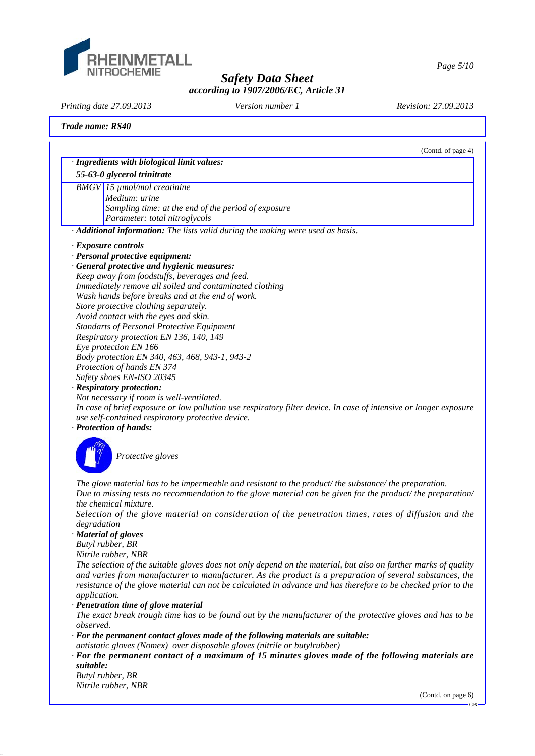

*Page 5/10*

# *Safety Data Sheet according to 1907/2006/EC, Article 31*

*Printing date 27.09.2013 Revision: 27.09.2013 Version number 1*

### *Trade name: RS40*

|                             | (Contd. of page 4)<br>· Ingredients with biological limit values:                                                 |
|-----------------------------|-------------------------------------------------------------------------------------------------------------------|
| 55-63-0 glycerol trinitrate |                                                                                                                   |
|                             | $BMGV$ 15 $\mu$ mol/mol creatinine                                                                                |
|                             | Medium: urine                                                                                                     |
|                             | Sampling time: at the end of the period of exposure                                                               |
|                             | Parameter: total nitroglycols                                                                                     |
|                             | · Additional information: The lists valid during the making were used as basis.                                   |
| · Exposure controls         |                                                                                                                   |
|                             | · Personal protective equipment:                                                                                  |
|                             | · General protective and hygienic measures:                                                                       |
|                             | Keep away from foodstuffs, beverages and feed.                                                                    |
|                             | Immediately remove all soiled and contaminated clothing                                                           |
|                             | Wash hands before breaks and at the end of work.                                                                  |
|                             | Store protective clothing separately.                                                                             |
|                             | Avoid contact with the eyes and skin.                                                                             |
|                             | <b>Standarts of Personal Protective Equipment</b>                                                                 |
|                             | Respiratory protection EN 136, 140, 149                                                                           |
| Eye protection EN 166       |                                                                                                                   |
|                             | Body protection EN 340, 463, 468, 943-1, 943-2                                                                    |
|                             | Protection of hands EN 374                                                                                        |
|                             | Safety shoes EN-ISO 20345                                                                                         |
| · Respiratory protection:   |                                                                                                                   |
|                             | Not necessary if room is well-ventilated.                                                                         |
|                             | In case of brief exposure or low pollution use respiratory filter device. In case of intensive or longer exposure |
|                             | use self-contained respiratory protective device.                                                                 |
| · Protection of hands:      |                                                                                                                   |
|                             |                                                                                                                   |
|                             | Protective gloves                                                                                                 |
|                             |                                                                                                                   |
|                             |                                                                                                                   |
|                             | The glove material has to be impermeable and resistant to the product/the substance/the preparation.              |
|                             | Due to missing tests no recommendation to the glove material can be given for the product/ the preparation/       |
| the chemical mixture.       |                                                                                                                   |
|                             | Selection of the glove material on consideration of the penetration times, rates of diffusion and the             |
| degradation                 |                                                                                                                   |
| · Material of gloves        |                                                                                                                   |
| Butyl rubber, BR            |                                                                                                                   |
| Nitrile rubber, NBR         |                                                                                                                   |
|                             | The selection of the suitable gloves does not only depend on the material, but also on further marks of quality   |
|                             | and varies from manufacturer to manufacturer. As the product is a preparation of several substances, the          |
|                             | resistance of the glove material can not be calculated in advance and has therefore to be checked prior to the    |
| application.                |                                                                                                                   |
|                             | · Penetration time of glove material                                                                              |

*The exact break trough time has to be found out by the manufacturer of the protective gloves and has to be observed.*

- *· For the permanent contact gloves made of the following materials are suitable:*
- *antistatic gloves (Nomex) over disposable gloves (nitrile or butylrubber)*
- *· For the permanent contact of a maximum of 15 minutes gloves made of the following materials are suitable:*

*Butyl rubber, BR Nitrile rubber, NBR*

(Contd. on page 6)

GB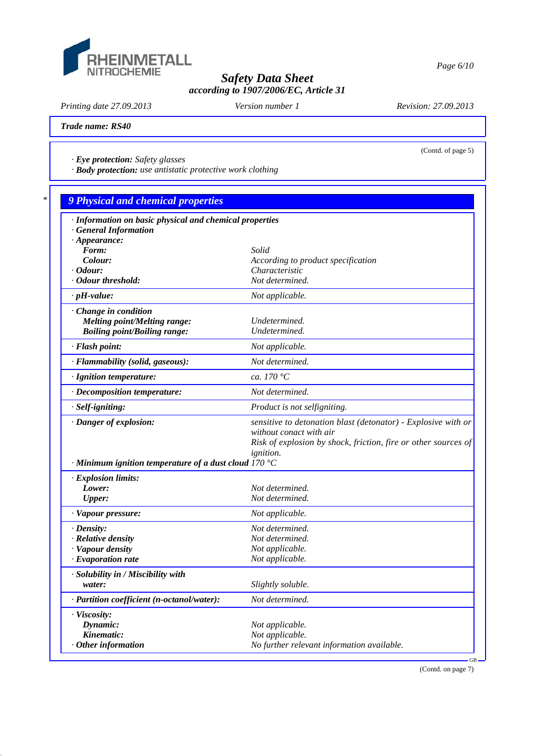

*Printing date 27.09.2013 Revision: 27.09.2013 Version number 1*

(Contd. of page 5)

*Trade name: RS40*

*· Eye protection: Safety glasses*

*· Body protection: use antistatic protective work clothing*

| · Information on basic physical and chemical properties     |                                                                |
|-------------------------------------------------------------|----------------------------------------------------------------|
| <b>General Information</b>                                  |                                                                |
| $\cdot$ Appearance:<br>Form:                                | Solid                                                          |
| Colour:                                                     | According to product specification                             |
| · Odour:                                                    | Characteristic                                                 |
| · Odour threshold:                                          | Not determined.                                                |
| $\cdot$ pH-value:                                           | Not applicable.                                                |
| Change in condition                                         |                                                                |
| <b>Melting point/Melting range:</b>                         | Undetermined.                                                  |
| <b>Boiling point/Boiling range:</b>                         | Undetermined.                                                  |
| · Flash point:                                              | Not applicable.                                                |
| · Flammability (solid, gaseous):                            | Not determined.                                                |
| · Ignition temperature:                                     | ca. 170 °C                                                     |
| · Decomposition temperature:                                | Not determined.                                                |
| · Self-igniting:                                            | Product is not selfigniting.                                   |
| · Danger of explosion:                                      | sensitive to detonation blast (detonator) - Explosive with or  |
|                                                             | without conact with air                                        |
|                                                             | Risk of explosion by shock, friction, fire or other sources of |
| $\cdot$ Minimum ignition temperature of a dust cloud 170 °C | <i>ignition.</i>                                               |
| · Explosion limits:                                         |                                                                |
| Lower:                                                      | Not determined.                                                |
| <b>Upper:</b>                                               | Not determined.                                                |
| · Vapour pressure:                                          | Not applicable.                                                |
|                                                             |                                                                |
| $\cdot$ Density:                                            | Not determined.<br>Not determined.                             |
| · Relative density<br>· Vapour density                      | Not applicable.                                                |
| $\cdot$ Evaporation rate                                    | Not applicable.                                                |
| · Solubility in / Miscibility with                          |                                                                |
| water:                                                      | Slightly soluble.                                              |
| · Partition coefficient (n-octanol/water):                  | Not determined.                                                |
| · Viscosity:                                                |                                                                |
| Dynamic:                                                    | Not applicable.                                                |
| Kinematic:                                                  | Not applicable.                                                |
| $·$ Other information                                       | No further relevant information available.                     |

(Contd. on page 7)

*Page 6/10*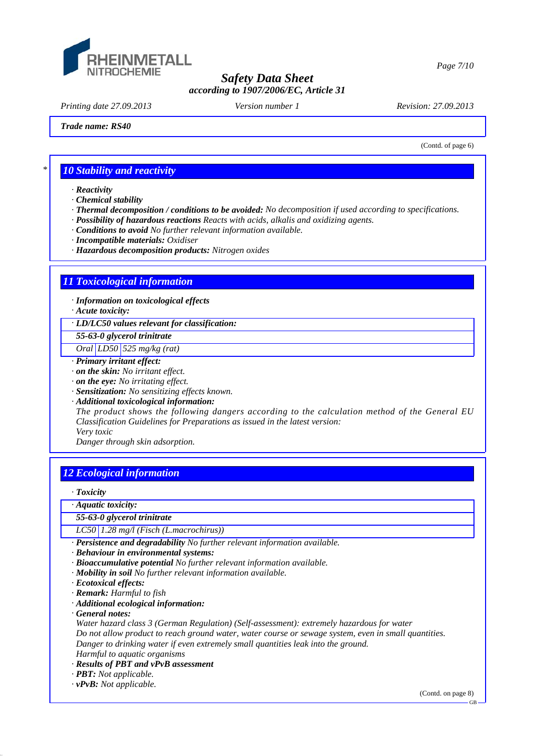

*Printing date 27.09.2013 Revision: 27.09.2013 Version number 1*

(Contd. of page 6)

*Trade name: RS40*

*\* 10 Stability and reactivity*

*· Reactivity*

*· Chemical stability*

*· Thermal decomposition / conditions to be avoided: No decomposition if used according to specifications.*

*· Possibility of hazardous reactions Reacts with acids, alkalis and oxidizing agents.*

*· Conditions to avoid No further relevant information available.*

*· Incompatible materials: Oxidiser*

*· Hazardous decomposition products: Nitrogen oxides*

# *11 Toxicological information*

*· Information on toxicological effects*

*· Acute toxicity:*

*· LD/LC50 values relevant for classification:*

*55-63-0 glycerol trinitrate*

*Oral LD50 525 mg/kg (rat)*

*· Primary irritant effect:*

*· on the skin: No irritant effect.*

*· on the eye: No irritating effect.*

*· Sensitization: No sensitizing effects known.*

*· Additional toxicological information:*

*The product shows the following dangers according to the calculation method of the General EU Classification Guidelines for Preparations as issued in the latest version: Very toxic*

*Danger through skin adsorption.*

## *12 Ecological information*

*· Toxicity*

*· Aquatic toxicity:*

*55-63-0 glycerol trinitrate*

*LC50 1.28 mg/l (Fisch (L.macrochirus))*

*· Persistence and degradability No further relevant information available.*

*· Behaviour in environmental systems:*

*· Bioaccumulative potential No further relevant information available.*

*· Mobility in soil No further relevant information available.*

*· Ecotoxical effects:*

*· Remark: Harmful to fish*

*· Additional ecological information:*

*· General notes:*

*Water hazard class 3 (German Regulation) (Self-assessment): extremely hazardous for water Do not allow product to reach ground water, water course or sewage system, even in small quantities. Danger to drinking water if even extremely small quantities leak into the ground. Harmful to aquatic organisms*

*· Results of PBT and vPvB assessment*

*· PBT: Not applicable.*

*· vPvB: Not applicable.*

(Contd. on page 8)

*Page 7/10*

GB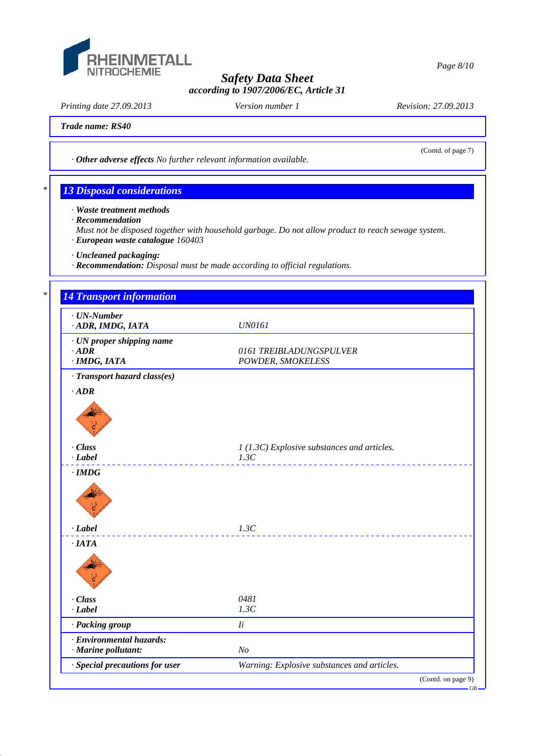

*Printing date 27.09.2013 Revision: 27.09.2013 Version number 1*

(Contd. of page 7)

*Trade name: RS40*

*· Other adverse effects No further relevant information available.*

# *\* 13 Disposal considerations*

- *· Waste treatment methods*
- *· Recommendation*
- *Must not be disposed together with household garbage. Do not allow product to reach sewage system. · European waste catalogue 160403*
- *· Uncleaned packaging:*
- *· Recommendation: Disposal must be made according to official regulations.*

# *\* 14 Transport information · UN-Number · ADR, IMDG, IATA UN0161 · UN proper shipping name · ADR 0161 TREIBLADUNGSPULVER · IMDG, IATA POWDER, SMOKELESS · Transport hazard class(es) · ADR · Class 1 (1.3C) Explosive substances and articles. · Label 1.3C · IMDG · Label 1.3C · IATA · Class 0481 · Label 1.3C · Packing group Ii · Environmental hazards: · Marine pollutant: No · Special precautions for user Warning: Explosive substances and articles.* (Contd. on page 9) GB

*Page 8/10*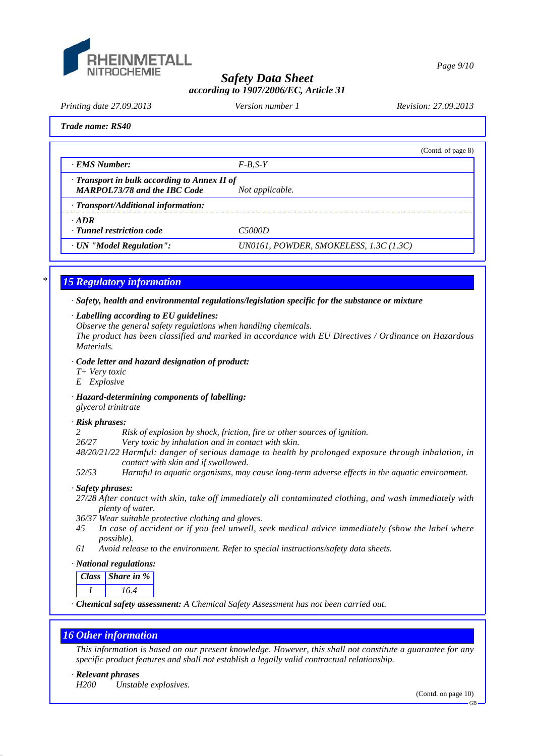

*Page 9/10*

## *Safety Data Sheet according to 1907/2006/EC, Article 31*

*Printing date 27.09.2013 Revision: 27.09.2013 Version number 1*

|  | Trade name: RS40 |  |
|--|------------------|--|
|--|------------------|--|

|                                                                                           | (Contd. of page 8)                     |
|-------------------------------------------------------------------------------------------|----------------------------------------|
| · EMS Number:                                                                             | $F-B.S-Y$                              |
| $\cdot$ Transport in bulk according to Annex II of<br><b>MARPOL73/78 and the IBC Code</b> | Not applicable.                        |
| · Transport/Additional information:                                                       |                                        |
| $\cdot$ ADR<br>· Tunnel restriction code                                                  | C5000D                                 |
| · UN "Model Regulation":                                                                  | UN0161, POWDER, SMOKELESS, 1.3C (1.3C) |

# *\* 15 Regulatory information*

### *· Safety, health and environmental regulations/legislation specific for the substance or mixture*

### *· Labelling according to EU guidelines:*

*Observe the general safety regulations when handling chemicals.*

*The product has been classified and marked in accordance with EU Directives / Ordinance on Hazardous Materials.*

### *· Code letter and hazard designation of product:*

- *T+ Very toxic*
- *E Explosive*

*· Hazard-determining components of labelling: glycerol trinitrate*

### *· Risk phrases:*

*2 Risk of explosion by shock, friction, fire or other sources of ignition.*

*26/27 Very toxic by inhalation and in contact with skin.*

- *48/20/21/22 Harmful: danger of serious damage to health by prolonged exposure through inhalation, in contact with skin and if swallowed.*
- *52/53 Harmful to aquatic organisms, may cause long-term adverse effects in the aquatic environment.*

### *· Safety phrases:*

- *27/28 After contact with skin, take off immediately all contaminated clothing, and wash immediately with plenty of water.*
- *36/37 Wear suitable protective clothing and gloves.*
- *45 In case of accident or if you feel unwell, seek medical advice immediately (show the label where possible).*
- *61 Avoid release to the environment. Refer to special instructions/safety data sheets.*

## *· National regulations:*

*Class Share in % I 16.4*

*· Chemical safety assessment: A Chemical Safety Assessment has not been carried out.*

# *16 Other information*

*This information is based on our present knowledge. However, this shall not constitute a guarantee for any specific product features and shall not establish a legally valid contractual relationship.*

### *· Relevant phrases*

*H200 Unstable explosives.*

(Contd. on page 10)

GB